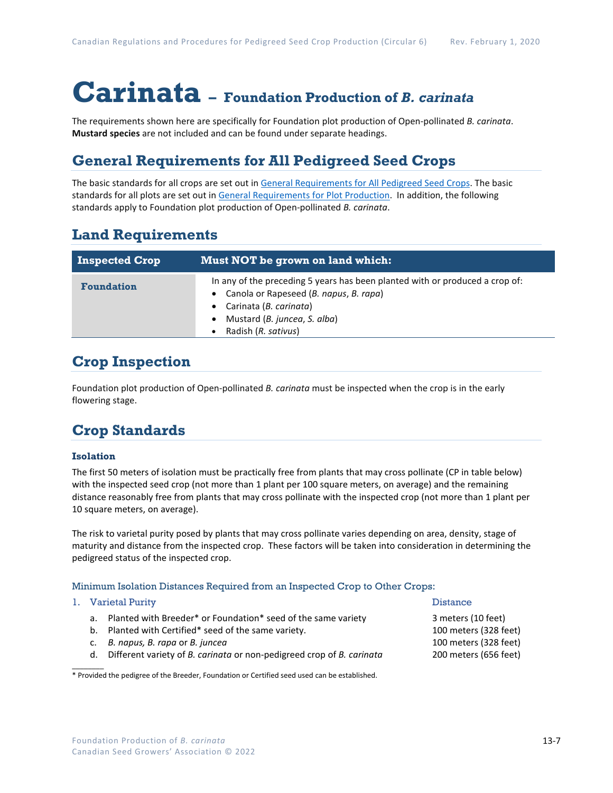# **Carinata – Foundation Production of** *B. carinata*

The requirements shown here are specifically for Foundation plot production of Open-pollinated *B. carinata*. **Mustard species** are not included and can be found under separate headings.

## **General Requirements for All Pedigreed Seed Crops**

The basic standards for all crops are set out i[n General Requirements for All Pedigreed Seed](https://seedgrowers.ca/wp-content/uploads/2020/01/GENERAL-REQUIREMENTS-ALL-CROPS_EN.pdf) Crops. The basic standards for all plots are set out i[n General Requirements for Plot Production.](https://seedgrowers.ca/wp-content/uploads/2020/01/GENERAL-REQUIREMENTS-PLOTS_EN.pdf) In addition, the following standards apply to Foundation plot production of Open-pollinated *B. carinata*.

### **Land Requirements**

| <b>Inspected Crop</b> | Must NOT be grown on land which:                                                                                                                                                                            |  |  |  |  |
|-----------------------|-------------------------------------------------------------------------------------------------------------------------------------------------------------------------------------------------------------|--|--|--|--|
| <b>Foundation</b>     | In any of the preceding 5 years has been planted with or produced a crop of:<br>• Canola or Rapeseed (B. napus, B. rapa)<br>• Carinata (B. carinata)<br>Mustard (B. juncea, S. alba)<br>Radish (R. sativus) |  |  |  |  |

## **Crop Inspection**

Foundation plot production of Open-pollinated *B. carinata* must be inspected when the crop is in the early flowering stage.

## **Crop Standards**

### **Isolation**

The first 50 meters of isolation must be practically free from plants that may cross pollinate (CP in table below) with the inspected seed crop (not more than 1 plant per 100 square meters, on average) and the remaining distance reasonably free from plants that may cross pollinate with the inspected crop (not more than 1 plant per 10 square meters, on average).

The risk to varietal purity posed by plants that may cross pollinate varies depending on area, density, stage of maturity and distance from the inspected crop. These factors will be taken into consideration in determining the pedigreed status of the inspected crop.

### Minimum Isolation Distances Required from an Inspected Crop to Other Crops:

#### 1. Varietal Purity **Distance International Purity Property** of the United States of the Distance

 $\mathcal{L}$ 

- a. Planted with Breeder\* or Foundation\* seed of the same variety 3 meters (10 feet)
- b. Planted with Certified\* seed of the same variety. 100 meters (328 feet)
- c. *B. napus, B. rapa* or *B. juncea* 100 meters (328 feet)
- d. Different variety of *B. carinata* or non-pedigreed crop of *B. carinata* 200 meters (656 feet)

\* Provided the pedigree of the Breeder, Foundation or Certified seed used can be established.